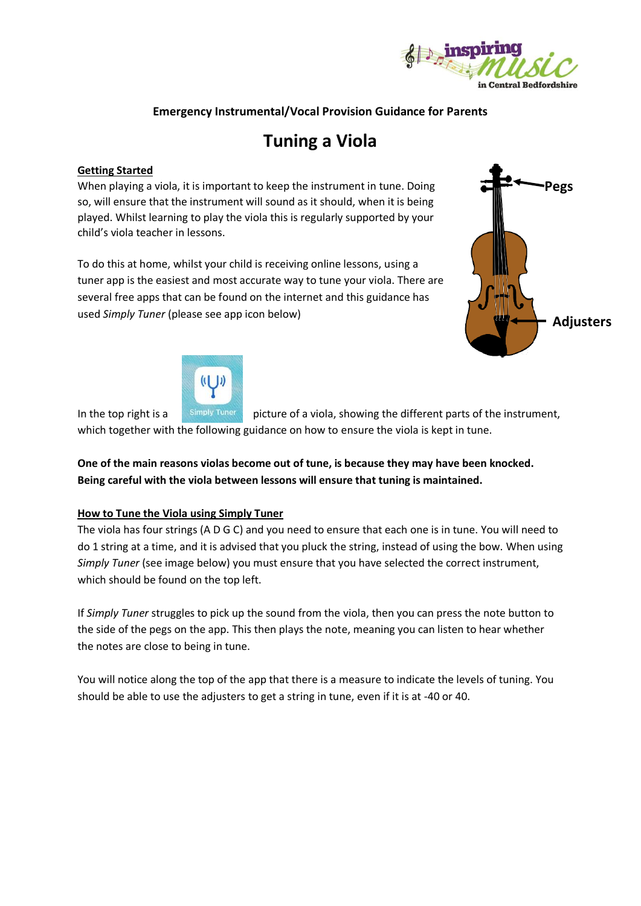

## **Emergency Instrumental/Vocal Provision Guidance for Parents**

# **Tuning a Viola**

#### **Getting Started**

When playing a viola, it is important to keep the instrument in tune. Doing so, will ensure that the instrument will sound as it should, when it is being played. Whilst learning to play the viola this is regularly supported by your child's viola teacher in lessons.

To do this at home, whilst your child is receiving online lessons, using a tuner app is the easiest and most accurate way to tune your viola. There are several free apps that can be found on the internet and this guidance has used *Simply Tuner* (please see app icon below)





In the top right is a simply Tuner picture of a viola, showing the different parts of the instrument, which together with the following guidance on how to ensure the viola is kept in tune.

**One of the main reasons violas become out of tune, is because they may have been knocked. Being careful with the viola between lessons will ensure that tuning is maintained.** 

#### **How to Tune the Viola using Simply Tuner**

The viola has four strings (A D G C) and you need to ensure that each one is in tune. You will need to do 1 string at a time, and it is advised that you pluck the string, instead of using the bow. When using *Simply Tuner* (see image below) you must ensure that you have selected the correct instrument, which should be found on the top left.

If *Simply Tuner* struggles to pick up the sound from the viola, then you can press the note button to the side of the pegs on the app. This then plays the note, meaning you can listen to hear whether the notes are close to being in tune.

You will notice along the top of the app that there is a measure to indicate the levels of tuning. You should be able to use the adjusters to get a string in tune, even if it is at -40 or 40.